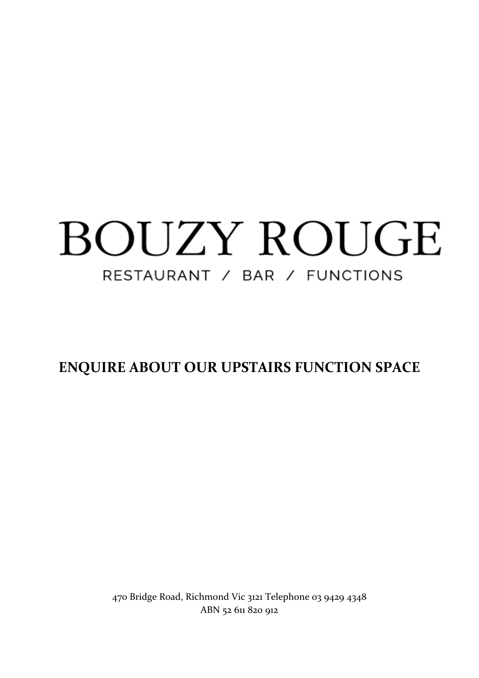# BOUZY ROUGE RESTAURANT / BAR / FUNCTIONS

**ENQUIRE ABOUT OUR UPSTAIRS FUNCTION SPACE**

470 Bridge Road, Richmond Vic 3121 Telephone 03 9429 4348 ABN 52 611 820 912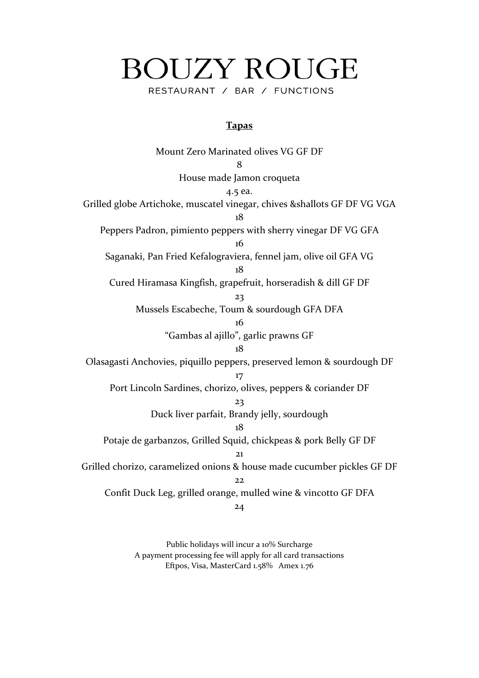# **BOUZY ROUGE** RESTAURANT / BAR / FUNCTIONS

#### **Tapas**

Mount Zero Marinated olives VG GF DF 8 House made Jamon croqueta 4.5 ea. Grilled globe Artichoke, muscatel vinegar, chives &shallots GF DF VG VGA 18 Peppers Padron, pimiento peppers with sherry vinegar DF VG GFA 16 Saganaki, Pan Fried Kefalograviera, fennel jam, olive oil GFA VG 18 Cured Hiramasa Kingfish, grapefruit, horseradish & dill GF DF 23 Mussels Escabeche, Toum & sourdough GFA DFA 16 "Gambas al ajillo", garlic prawns GF 18 Olasagasti Anchovies, piquillo peppers, preserved lemon & sourdough DF 17 Port Lincoln Sardines, chorizo, olives, peppers & coriander DF 23 Duck liver parfait, Brandy jelly, sourdough 18 Potaje de garbanzos, Grilled Squid, chickpeas & pork Belly GF DF 21 Grilled chorizo, caramelized onions & house made cucumber pickles GF DF 22 Confit Duck Leg, grilled orange, mulled wine & vincotto GF DFA 24

> Public holidays will incur a 10% Surcharge A payment processing fee will apply for all card transactions Eftpos, Visa, MasterCard 1.58% Amex 1.76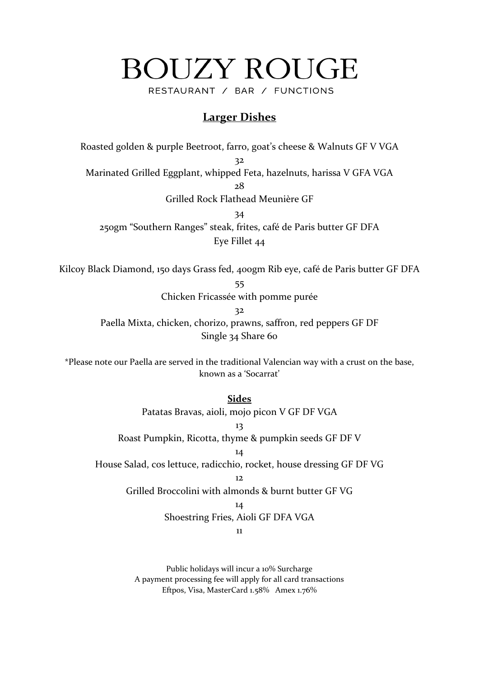# **BOUZY ROUGE**

RESTAURANT / BAR / FUNCTIONS

## **Larger Dishes**

Roasted golden & purple Beetroot, farro, goat's cheese & Walnuts GF V VGA 32

Marinated Grilled Eggplant, whipped Feta, hazelnuts, harissa V GFA VGA

28

Grilled Rock Flathead Meunière GF

34

250gm "Southern Ranges" steak, frites, café de Paris butter GF DFA Eye Fillet 44

Kilcoy Black Diamond, 150 days Grass fed, 400gm Rib eye, café de Paris butter GF DFA

55

Chicken Fricassée with pomme purée

32

Paella Mixta, chicken, chorizo, prawns, saffron, red peppers GF DF Single 34 Share 60

\*Please note our Paella are served in the traditional Valencian way with a crust on the base, known as a 'Socarrat'

> **Sides** Patatas Bravas, aioli, mojo picon V GF DF VGA

13 Roast Pumpkin, Ricotta, thyme & pumpkin seeds GF DF V

14

House Salad, cos lettuce, radicchio, rocket, house dressing GF DF VG

 $12<sub>12</sub>$ 

Grilled Broccolini with almonds & burnt butter GF VG

14

Shoestring Fries, Aioli GF DFA VGA

11

Public holidays will incur a 10% Surcharge A payment processing fee will apply for all card transactions Eftpos, Visa, MasterCard 1.58% Amex 1.76%